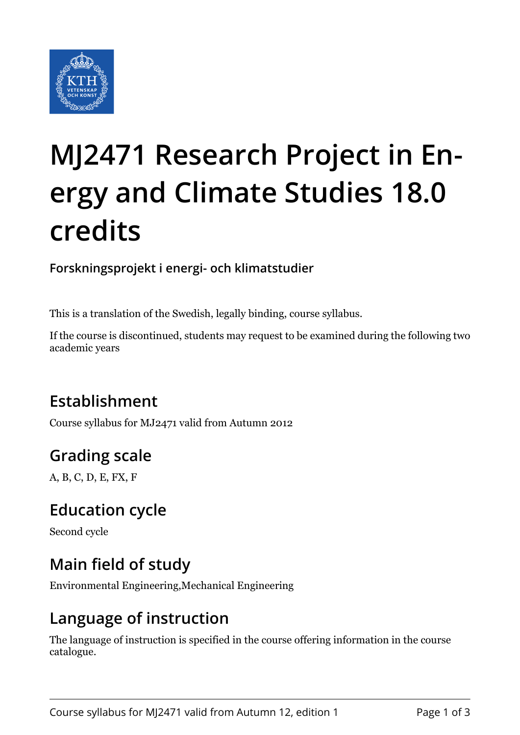

# **MJ2471 Research Project in Energy and Climate Studies 18.0 credits**

**Forskningsprojekt i energi- och klimatstudier**

This is a translation of the Swedish, legally binding, course syllabus.

If the course is discontinued, students may request to be examined during the following two academic years

# **Establishment**

Course syllabus for MJ2471 valid from Autumn 2012

# **Grading scale**

A, B, C, D, E, FX, F

### **Education cycle**

Second cycle

### **Main field of study**

Environmental Engineering,Mechanical Engineering

#### **Language of instruction**

The language of instruction is specified in the course offering information in the course catalogue.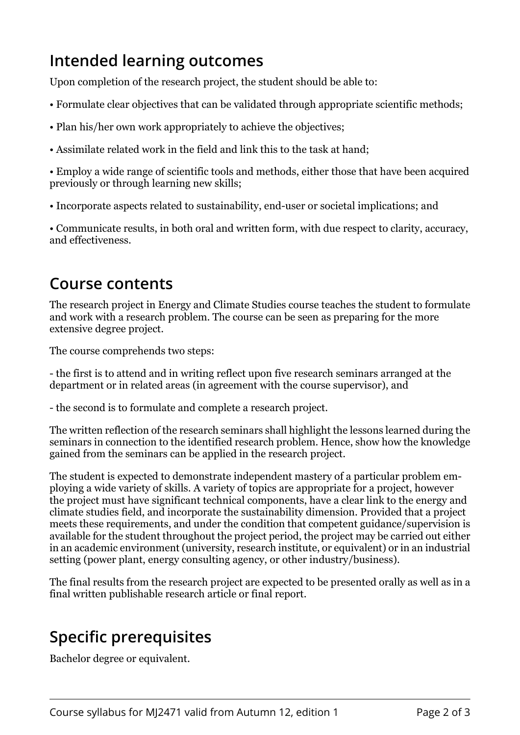### **Intended learning outcomes**

Upon completion of the research project, the student should be able to:

- Formulate clear objectives that can be validated through appropriate scientific methods;
- Plan his/her own work appropriately to achieve the objectives;
- Assimilate related work in the field and link this to the task at hand;

• Employ a wide range of scientific tools and methods, either those that have been acquired previously or through learning new skills;

• Incorporate aspects related to sustainability, end-user or societal implications; and

• Communicate results, in both oral and written form, with due respect to clarity, accuracy, and effectiveness.

#### **Course contents**

The research project in Energy and Climate Studies course teaches the student to formulate and work with a research problem. The course can be seen as preparing for the more extensive degree project.

The course comprehends two steps:

- the first is to attend and in writing reflect upon five research seminars arranged at the department or in related areas (in agreement with the course supervisor), and

- the second is to formulate and complete a research project.

The written reflection of the research seminars shall highlight the lessons learned during the seminars in connection to the identified research problem. Hence, show how the knowledge gained from the seminars can be applied in the research project.

The student is expected to demonstrate independent mastery of a particular problem employing a wide variety of skills. A variety of topics are appropriate for a project, however the project must have significant technical components, have a clear link to the energy and climate studies field, and incorporate the sustainability dimension. Provided that a project meets these requirements, and under the condition that competent guidance/supervision is available for the student throughout the project period, the project may be carried out either in an academic environment (university, research institute, or equivalent) or in an industrial setting (power plant, energy consulting agency, or other industry/business).

The final results from the research project are expected to be presented orally as well as in a final written publishable research article or final report.

#### **Specific prerequisites**

Bachelor degree or equivalent.